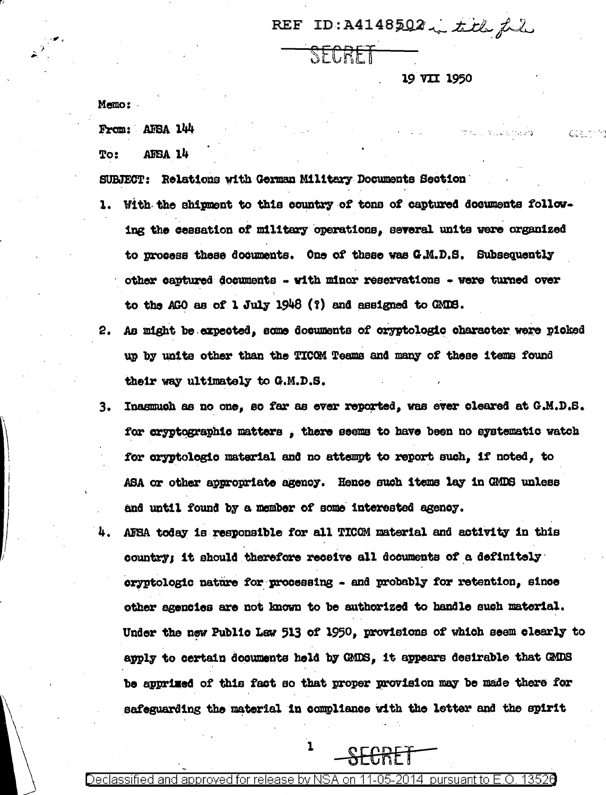REF ID: A4148502, title fil

SECRET

19 VII 1950

in the Ligate Steel

Memo:

From: AFSA 144

AFSA 14 To:

SUBJECT: Relations with German Military Documents Section

- With the shipment to this country of tons of captured documents follow- $\mathbf{1}$ . ing the cessation of military operations, several units were organized to process these documents. One of these was G.M.D.S. Subsequently other captured documents - with minor reservations - were turned over to the AGO as of 1 July 1948  $(?)$  and assigned to GMDS.
- As might be expected, some documents of oryptologic character were picked  $2.$ up by units other than the TICOM Teams and many of these items found their way ultimately to G.M.D.S.
- Inasmuch as no one, so far as ever reported, was ever cleared at G.M.D.S. з. for cryptographic matters, there seems to have been no systematic watch for oryptologic material and no attempt to report such, if noted, to ASA or other appropriate agency. Hence such items lay in GMDS unless and until found by a member of some interested agency.
- AFEA today is responsible for all TICOM material and activity in this 4. country; it should therefore receive all documents of a definitely cryptologic nature for processing - and probably for retention, since other agencies are not known to be authorized to handle such material. Under the new Public Law 513 of 1950, provisions of which seem clearly to apply to certain documents held by GMDS, it appears desirable that GMDS be apprised of this fact so that proper provision may be made there for safeguarding the material in compliance with the letter and the spirit

 $-$ SFCRFT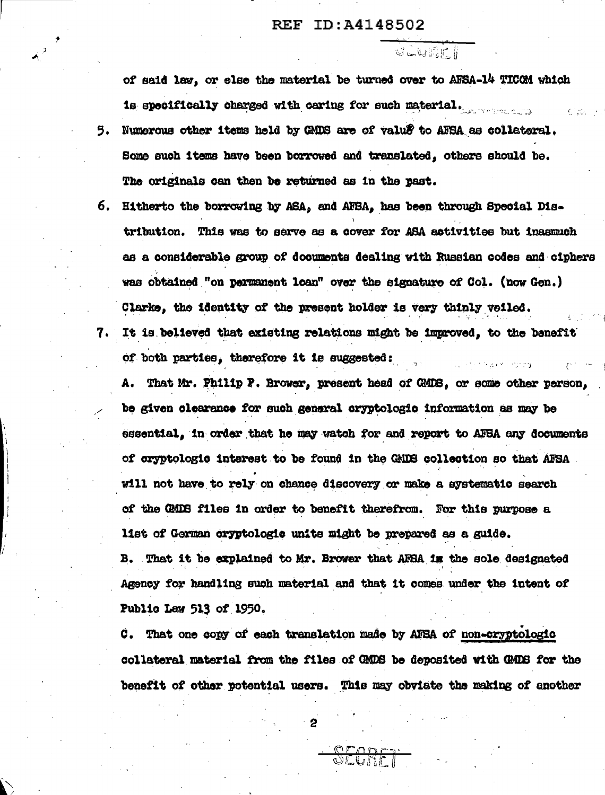## ID:A4148502  $\bf REF$

 $C = 1$ 

of said law, or else the material be turned over to AFSA-14 TICOM which is specifically charged with caring for such material.

- Numerous other items held by GMDS are of value to AFSA as collateral. 5. Some such items have been borrowed and translated, others should be. The originals can then be returned as in the past.
- 6. Hitherto the borrowing by ASA, and AFSA, has been through Special Distribution. This was to serve as a cover for ASA activities but inasmuch as a considerable group of documents dealing with Russian codes and ciphers was obtained "on permanent loan" over the signature of Col. (now Gen.) Clarke, the identity of the present holder is very thinly veiled. It is believed that existing relations might be improved, to the benefit 7. . .

of both parties, therefore it is suggested:

A. That Mr. Philip P. Brower, present head of GMDS, or some other person, be given clearance for such general oryptologic information as may be essential, in order that he may watch for and report to AFBA any documents of cryptologic interest to be found in the GMDS collection so that AFSA will not have to rely on chance discovery or make a systematic search of the GMB files in order to benefit therefrom. For this purpose a list of German cryptologic units might be prepared as a guide. B. That it be explained to Mr. Brower that AFSA in the sole designated Agency for handling such material and that it comes under the intent of

Public Law 513 of 1950.

C. That one copy of each translation made by AFSA of non-cryptologic collateral material from the files of GMDS be deposited with GMDS for the benefit of other potential users. This may obviate the making of another

OFODER

 $\overline{c}$